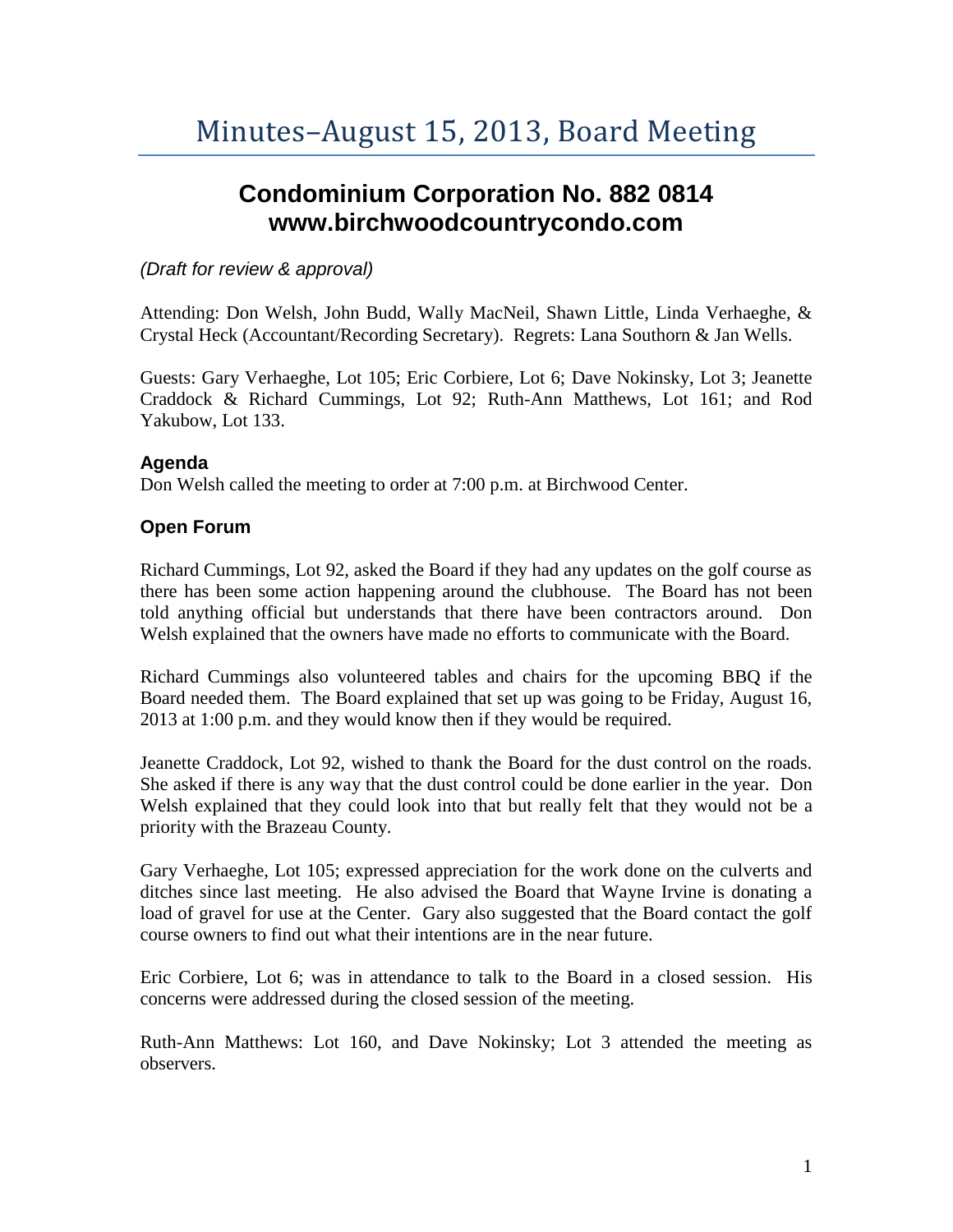# **Condominium Corporation No. 882 0814 www.birchwoodcountrycondo.com**

## *(Draft for review & approval)*

Attending: Don Welsh, John Budd, Wally MacNeil, Shawn Little, Linda Verhaeghe, & Crystal Heck (Accountant/Recording Secretary). Regrets: Lana Southorn & Jan Wells.

Guests: Gary Verhaeghe, Lot 105; Eric Corbiere, Lot 6; Dave Nokinsky, Lot 3; Jeanette Craddock & Richard Cummings, Lot 92; Ruth-Ann Matthews, Lot 161; and Rod Yakubow, Lot 133.

### **Agenda**

Don Welsh called the meeting to order at 7:00 p.m. at Birchwood Center.

## **Open Forum**

Richard Cummings, Lot 92, asked the Board if they had any updates on the golf course as there has been some action happening around the clubhouse. The Board has not been told anything official but understands that there have been contractors around. Don Welsh explained that the owners have made no efforts to communicate with the Board.

Richard Cummings also volunteered tables and chairs for the upcoming BBQ if the Board needed them. The Board explained that set up was going to be Friday, August 16, 2013 at 1:00 p.m. and they would know then if they would be required.

Jeanette Craddock, Lot 92, wished to thank the Board for the dust control on the roads. She asked if there is any way that the dust control could be done earlier in the year. Don Welsh explained that they could look into that but really felt that they would not be a priority with the Brazeau County.

Gary Verhaeghe, Lot 105; expressed appreciation for the work done on the culverts and ditches since last meeting. He also advised the Board that Wayne Irvine is donating a load of gravel for use at the Center. Gary also suggested that the Board contact the golf course owners to find out what their intentions are in the near future.

Eric Corbiere, Lot 6; was in attendance to talk to the Board in a closed session. His concerns were addressed during the closed session of the meeting.

Ruth-Ann Matthews: Lot 160, and Dave Nokinsky; Lot 3 attended the meeting as observers.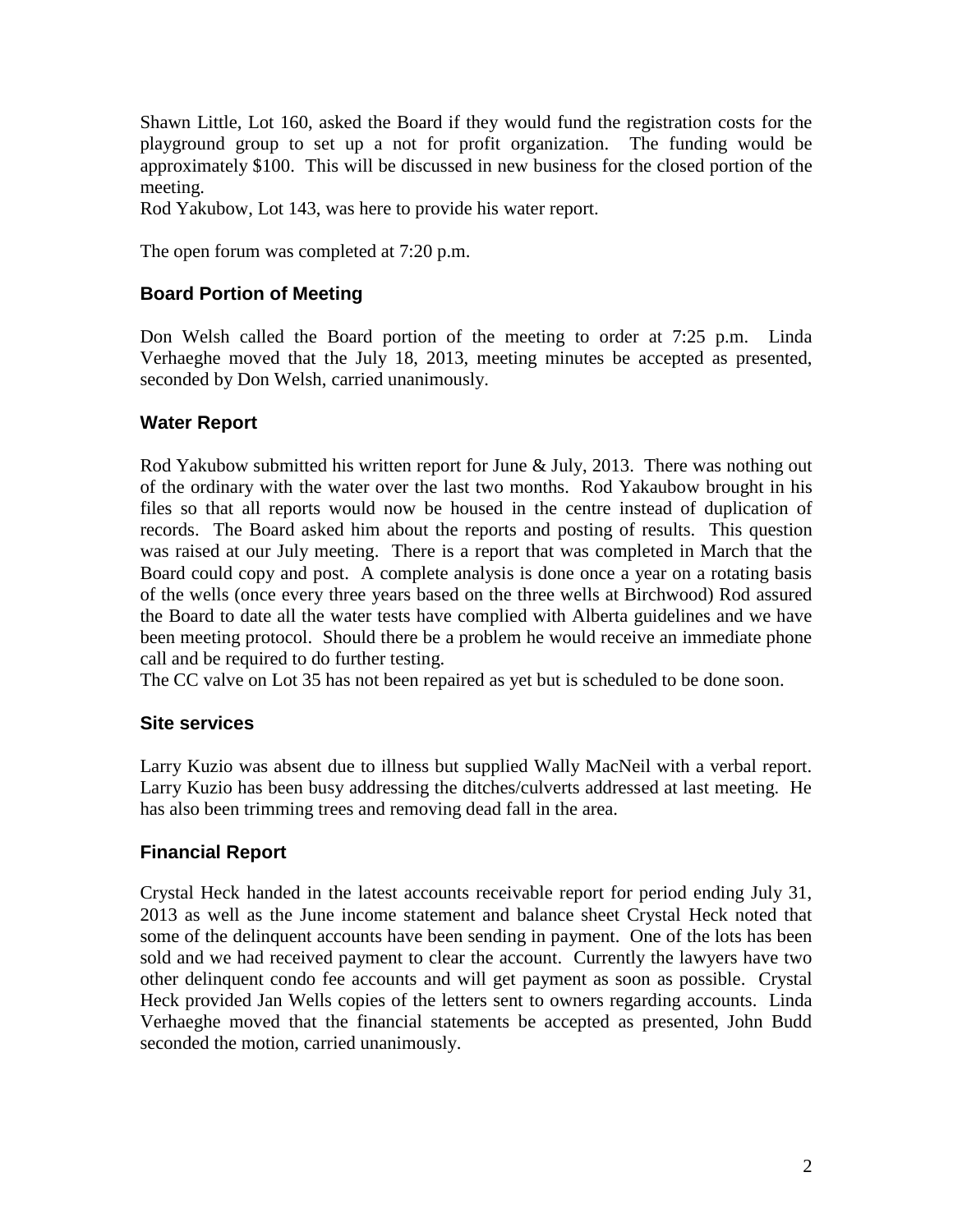Shawn Little, Lot 160, asked the Board if they would fund the registration costs for the playground group to set up a not for profit organization. The funding would be approximately \$100. This will be discussed in new business for the closed portion of the meeting.

Rod Yakubow, Lot 143, was here to provide his water report.

The open forum was completed at 7:20 p.m.

# **Board Portion of Meeting**

Don Welsh called the Board portion of the meeting to order at 7:25 p.m. Linda Verhaeghe moved that the July 18, 2013, meeting minutes be accepted as presented, seconded by Don Welsh, carried unanimously.

### **Water Report**

Rod Yakubow submitted his written report for June & July, 2013. There was nothing out of the ordinary with the water over the last two months. Rod Yakaubow brought in his files so that all reports would now be housed in the centre instead of duplication of records. The Board asked him about the reports and posting of results. This question was raised at our July meeting. There is a report that was completed in March that the Board could copy and post. A complete analysis is done once a year on a rotating basis of the wells (once every three years based on the three wells at Birchwood) Rod assured the Board to date all the water tests have complied with Alberta guidelines and we have been meeting protocol. Should there be a problem he would receive an immediate phone call and be required to do further testing.

The CC valve on Lot 35 has not been repaired as yet but is scheduled to be done soon.

### **Site services**

Larry Kuzio was absent due to illness but supplied Wally MacNeil with a verbal report. Larry Kuzio has been busy addressing the ditches/culverts addressed at last meeting. He has also been trimming trees and removing dead fall in the area.

### **Financial Report**

Crystal Heck handed in the latest accounts receivable report for period ending July 31, 2013 as well as the June income statement and balance sheet Crystal Heck noted that some of the delinquent accounts have been sending in payment. One of the lots has been sold and we had received payment to clear the account. Currently the lawyers have two other delinquent condo fee accounts and will get payment as soon as possible. Crystal Heck provided Jan Wells copies of the letters sent to owners regarding accounts. Linda Verhaeghe moved that the financial statements be accepted as presented, John Budd seconded the motion, carried unanimously.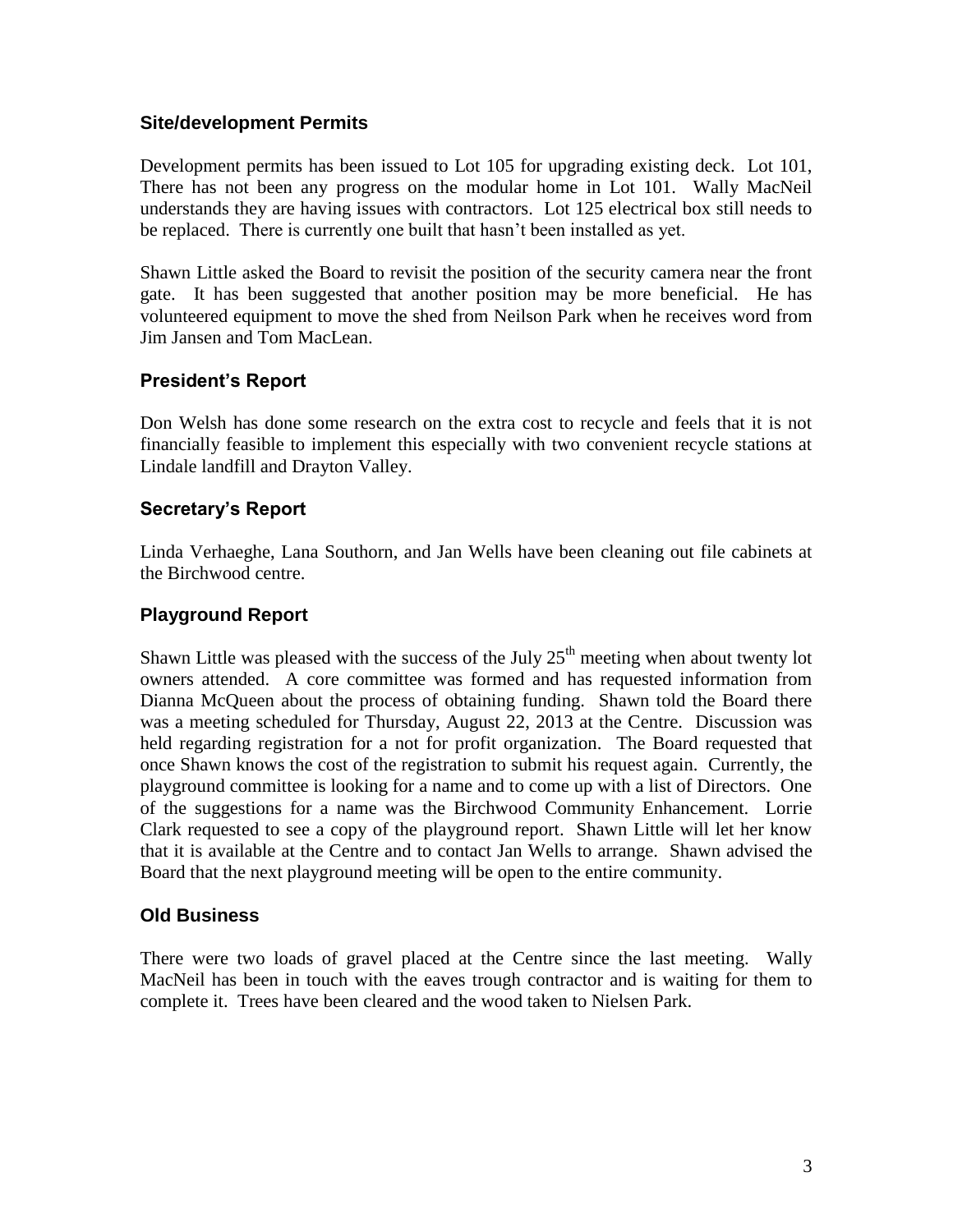## **Site/development Permits**

Development permits has been issued to Lot 105 for upgrading existing deck. Lot 101, There has not been any progress on the modular home in Lot 101. Wally MacNeil understands they are having issues with contractors. Lot 125 electrical box still needs to be replaced. There is currently one built that hasn't been installed as yet.

Shawn Little asked the Board to revisit the position of the security camera near the front gate. It has been suggested that another position may be more beneficial. He has volunteered equipment to move the shed from Neilson Park when he receives word from Jim Jansen and Tom MacLean.

## **President's Report**

Don Welsh has done some research on the extra cost to recycle and feels that it is not financially feasible to implement this especially with two convenient recycle stations at Lindale landfill and Drayton Valley.

## **Secretary's Report**

Linda Verhaeghe, Lana Southorn, and Jan Wells have been cleaning out file cabinets at the Birchwood centre.

## **Playground Report**

Shawn Little was pleased with the success of the July  $25<sup>th</sup>$  meeting when about twenty lot owners attended. A core committee was formed and has requested information from Dianna McQueen about the process of obtaining funding. Shawn told the Board there was a meeting scheduled for Thursday, August 22, 2013 at the Centre. Discussion was held regarding registration for a not for profit organization. The Board requested that once Shawn knows the cost of the registration to submit his request again. Currently, the playground committee is looking for a name and to come up with a list of Directors. One of the suggestions for a name was the Birchwood Community Enhancement. Lorrie Clark requested to see a copy of the playground report. Shawn Little will let her know that it is available at the Centre and to contact Jan Wells to arrange. Shawn advised the Board that the next playground meeting will be open to the entire community.

# **Old Business**

There were two loads of gravel placed at the Centre since the last meeting. Wally MacNeil has been in touch with the eaves trough contractor and is waiting for them to complete it. Trees have been cleared and the wood taken to Nielsen Park.